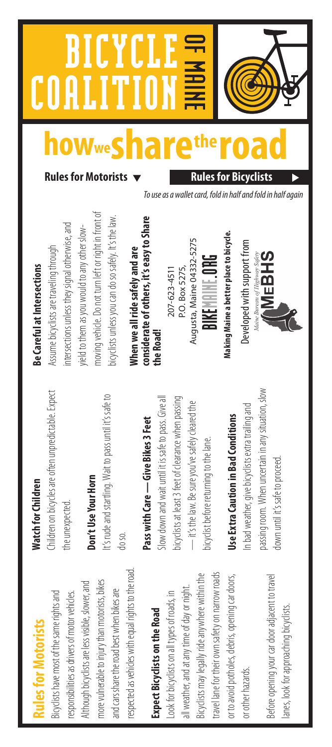### **Rules for Motorists** tules for Motorists

respected as vehicles with equal rights to the road. respected as vehicles with equal rights to the road Although bicyclists are less visible, slower, and more vulnerable to injury than motorists, bikes more vulnerable to injury than motorists, bikes Although bicyclists are less visible, slower, and and cars share the road best when bikes are and cars share the road best when bikes are responsibilities as drivers of motor vehicles. Bicyclists have most of the same rights and Bicyclists have most of the same rights and responsibilities as drivers of motor vehicles.

## Expect Bicyclists on the Road **Expect Bicyclists on the Road**

travel lane for their own safety on narrow roads travel lane for their own safety on narrow roads Bicyclists may legally ride anywhere within the Bicyclists may legally ride anywhere within the or to avoid potholes, debris, opening car doors, or to avoid potholes, debris, opening car doors, all weather, and at any time of day or night. all weather, and at any time of day or night. ook for bicyclists on all types of roads, in Look for bicyclists on all types of roads, in or other hazards. or other hazards.

Before opening your car door adjacent to travel Before opening your car door adjacent to travel lanes, look for approaching bicyclists. lanes, look for approaching bicyclists.

### **Watch for Children Watch for Children**

Children on bicycles are often unpredictable. Expect Children on bicycles are often unpredictable. Expect the unexpected. the unexpected.

### Don't Use Your Horn **Don't Use Your Horn**

It's rude and startling. Wait to pass until it's safe to It's rude and startling. Wait to pass until it's safe to do so.

# Pass with Care - Give Bikes 3 Feet **Pass with Care — Give Bikes 3 Feet**

Slow down and wait until it is safe to pass. Give all Slow down and wait until it is safe to pass. Give all bicyclists at least 3 feet of clearance when passing bicyclists at least 3 feet of clearance when passing - it's the law. Be sure you've safely cleared the — it's the law. Be sure you've safely cleared the bicyclist before returning to the lane. bicyclist before returning to the lane.

# **Use Extra Caution in Bad Conditions Use Extra Caution in Bad Conditions**

passing room. When uncertain in any situation, slow passing room. When uncertain in any situation, slow n bad weather, give bicyclists extra trailing and In bad weather, give bicyclists extra trailing and down until it's safe to proceed. down until it's safe to proceed.

### Be Careful at Intersections **Be Careful at Intersections**

moving vehicle. Do not turn left or right in front of moving vehicle. Do not turn left or right in front of ntersections unless they signal otherwise, and intersections unless they signal otherwise, and yield to them as you would to any other slowyield to them as you would to any other slow-Assume bicyclists are traveling through Assume bicyclists are traveling through

 **Rules for Motorists Rules for Bicyclists** 

### considerate of others, it's easy to Share<br>the Road! **considerate of others, it's easy to Share**  When we all ride safely and are **When we all ride safely and are**

**howwesharetheroad**

E

OF MAINE

# BIKEMAINE.ORG

To use as a wallet card, fold in half and fold in half again

Developed with support from Developed with support from

bicyclists unless you can do so safely. It's the law. bicyclists unless you can do so safely. It's the law.

207-623-4511<br>P.O. Box 5275,<br>Augusta, Maine 04332-5275<br>**BIKE.** P.O. BOX<br>Making Maine a better place to bicycle.